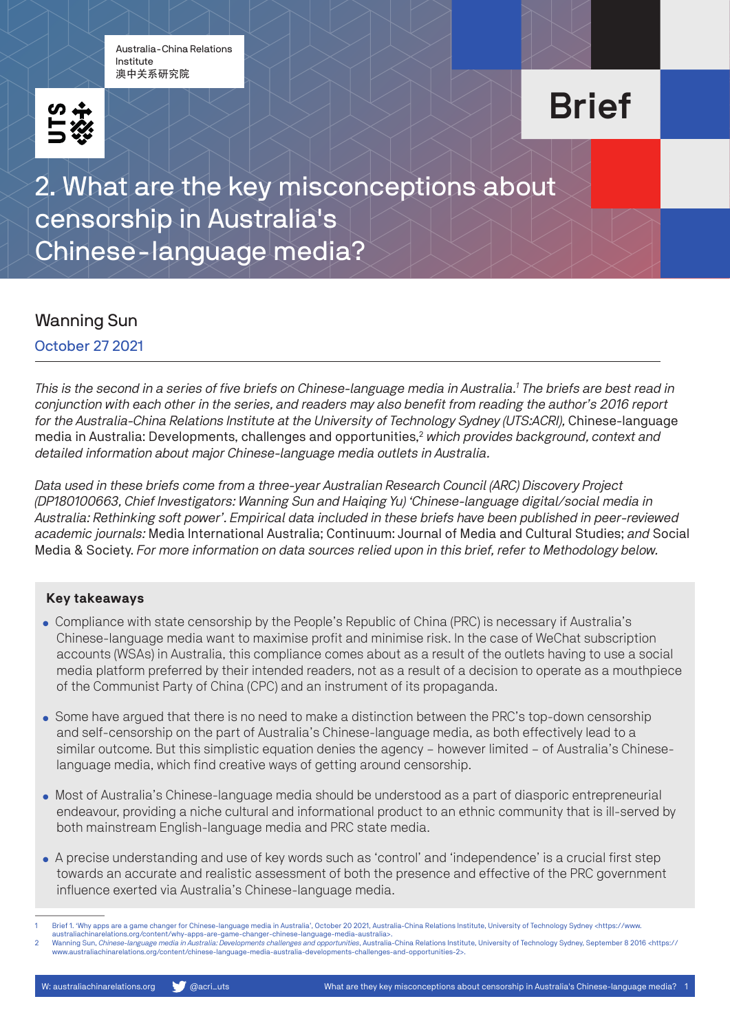Australia-China Relations Institute 澳中关系研究院



# Brief

2. What are the key misconceptions about censorship in Australia's Chinese-language media?

### Wanning Sun

October 27 2021

*This is the second in a series of five briefs on Chinese-language media in Australia.1 The briefs are best read in conjunction with each other in the series, and readers may also benefit from reading the author's 2016 report for the Australia-China Relations Institute at the University of Technology Sydney (UTS:ACRI),* Chinese-language media in Australia: Developments, challenges and opportunities,<sup>2</sup> which provides background, context and *detailed information about major Chinese-language media outlets in Australia.*

*Data used in these briefs come from a three-year Australian Research Council (ARC) Discovery Project (DP180100663, Chief Investigators: Wanning Sun and Haiqing Yu) 'Chinese-language digital/social media in Australia: Rethinking soft power'. Empirical data included in these briefs have been published in peer-reviewed academic journals:* Media International Australia; Continuum: Journal of Media and Cultural Studies; *and* Social Media & Society. *For more information on data sources relied upon in this brief, refer to Methodology below.*

#### **Key takeaways**

- Compliance with state censorship by the People's Republic of China (PRC) is necessary if Australia's Chinese-language media want to maximise profit and minimise risk. In the case of WeChat subscription accounts (WSAs) in Australia, this compliance comes about as a result of the outlets having to use a social media platform preferred by their intended readers, not as a result of a decision to operate as a mouthpiece of the Communist Party of China (CPC) and an instrument of its propaganda.
- Some have argued that there is no need to make a distinction between the PRC's top-down censorship and self-censorship on the part of Australia's Chinese-language media, as both effectively lead to a similar outcome. But this simplistic equation denies the agency – however limited – of Australia's Chineselanguage media, which find creative ways of getting around censorship.
- Most of Australia's Chinese-language media should be understood as a part of diasporic entrepreneurial endeavour, providing a niche cultural and informational product to an ethnic community that is ill-served by both mainstream English-language media and PRC state media.
- A precise understanding and use of key words such as 'control' and 'independence' is a crucial first step towards an accurate and realistic assessment of both the presence and effective of the PRC government influence exerted via Australia's Chinese-language media.

Brief 1. 'Why apps are a game changer for Chinese-language media in Australia', October 20 2021, Australia-China Relations Institute, University of Technology Sydney <https://www.

<sup>//</sup>australiachinarelations.org/content/why-apps-are-game-changer-chinese-language-media-australia>.<br>2. Wanning Sun, *Chinese-language media in Australia: Developments challenges and opportunities*, Australia-China Relations www.australiachinarelations.org/content/chinese-language-media-australia-developments-challenges-and-opportunities-2>.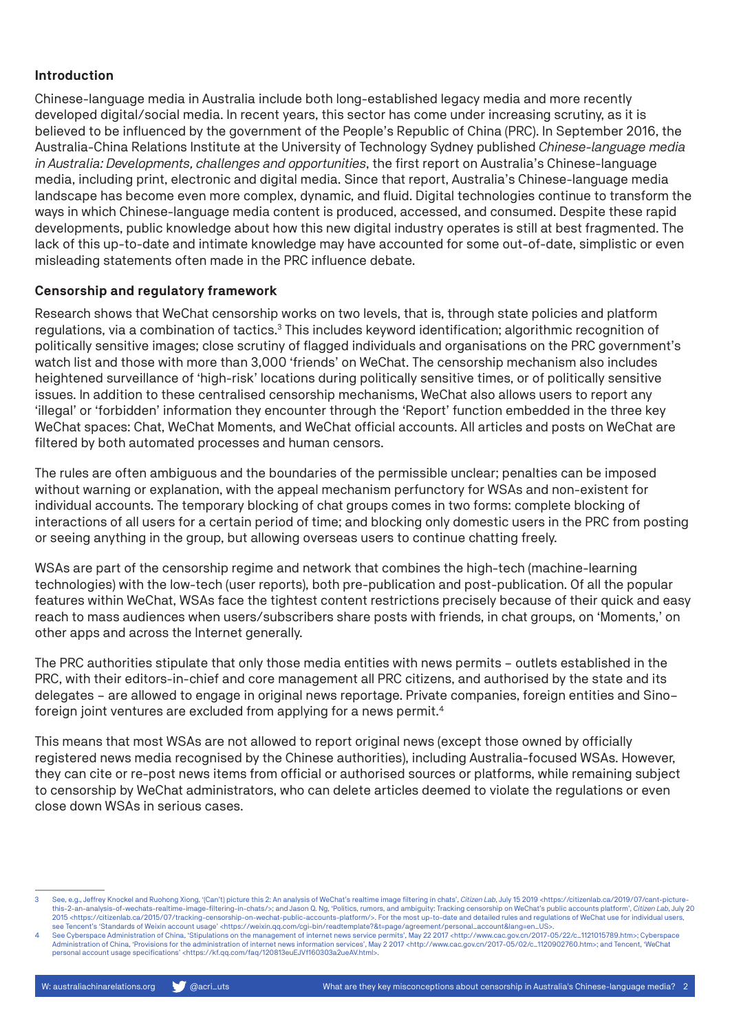#### **Introduction**

Chinese-language media in Australia include both long-established legacy media and more recently developed digital/social media. In recent years, this sector has come under increasing scrutiny, as it is believed to be influenced by the government of the People's Republic of China (PRC). In September 2016, the Australia-China Relations Institute at the University of Technology Sydney published *Chinese-language media in Australia: Developments, challenges and opportunities*, the first report on Australia's Chinese-language media, including print, electronic and digital media. Since that report, Australia's Chinese-language media landscape has become even more complex, dynamic, and fluid. Digital technologies continue to transform the ways in which Chinese-language media content is produced, accessed, and consumed. Despite these rapid developments, public knowledge about how this new digital industry operates is still at best fragmented. The lack of this up-to-date and intimate knowledge may have accounted for some out-of-date, simplistic or even misleading statements often made in the PRC influence debate.

#### **Censorship and regulatory framework**

Research shows that WeChat censorship works on two levels, that is, through state policies and platform regulations, via a combination of tactics.<sup>3</sup> This includes keyword identification; algorithmic recognition of politically sensitive images; close scrutiny of flagged individuals and organisations on the PRC government's watch list and those with more than 3,000 'friends' on WeChat. The censorship mechanism also includes heightened surveillance of 'high-risk' locations during politically sensitive times, or of politically sensitive issues. In addition to these centralised censorship mechanisms, WeChat also allows users to report any 'illegal' or 'forbidden' information they encounter through the 'Report' function embedded in the three key WeChat spaces: Chat, WeChat Moments, and WeChat official accounts. All articles and posts on WeChat are filtered by both automated processes and human censors.

The rules are often ambiguous and the boundaries of the permissible unclear; penalties can be imposed without warning or explanation, with the appeal mechanism perfunctory for WSAs and non-existent for individual accounts. The temporary blocking of chat groups comes in two forms: complete blocking of interactions of all users for a certain period of time; and blocking only domestic users in the PRC from posting or seeing anything in the group, but allowing overseas users to continue chatting freely.

WSAs are part of the censorship regime and network that combines the high-tech (machine-learning technologies) with the low-tech (user reports), both pre-publication and post-publication. Of all the popular features within WeChat, WSAs face the tightest content restrictions precisely because of their quick and easy reach to mass audiences when users/subscribers share posts with friends, in chat groups, on 'Moments,' on other apps and across the Internet generally.

The PRC authorities stipulate that only those media entities with news permits – outlets established in the PRC, with their editors-in-chief and core management all PRC citizens, and authorised by the state and its delegates – are allowed to engage in original news reportage. Private companies, foreign entities and Sino– foreign joint ventures are excluded from applying for a news permit.<sup>4</sup>

This means that most WSAs are not allowed to report original news (except those owned by officially registered news media recognised by the Chinese authorities), including Australia-focused WSAs. However, they can cite or re-post news items from official or authorised sources or platforms, while remaining subject to censorship by WeChat administrators, who can delete articles deemed to violate the regulations or even close down WSAs in serious cases.

<sup>3</sup> See, e.g., Jeffrey Knockel and Ruohong Xiong, '(Can't) picture this 2: An analysis of WeChat's realtime image filtering in chats', *Citizen Lab*, July 15 2019 <https://citizenlab.ca/2019/07/cant-picturethis-2-an-analysis-of-wechats-realtime-image-filtering-in-chats/>; and Jason Q. Ng, 'Politics, rumors, and ambiguity: Tracking censorship on WeChat's public accounts platform', *Citizen Lab*, July 20 2015 <https://citizenlab.ca/2015/07/tracking-censorship-on-wechat-public-accounts-platform/>. For the most up-to-date and detailed rules and regulations of WeChat use for individual users, see Tencent's 'Standards of Weixin account usage' <https://weixin.qq.com/cgi-bin/readtemplate?&t=page/agreement/personal\_account&lang=en\_US>.

See Cyberspace Administration of China, 'Stipulations on the management of internet news service permits', May 22 2017 <http://www.cac.gov.cn/2017-05/22/c\_1121015789.htm>; Cyberspace Administration sfor the administration personal account usage specifications' <https://kf.qq.com/faq/120813euEJVf160303a2ueAV.html>.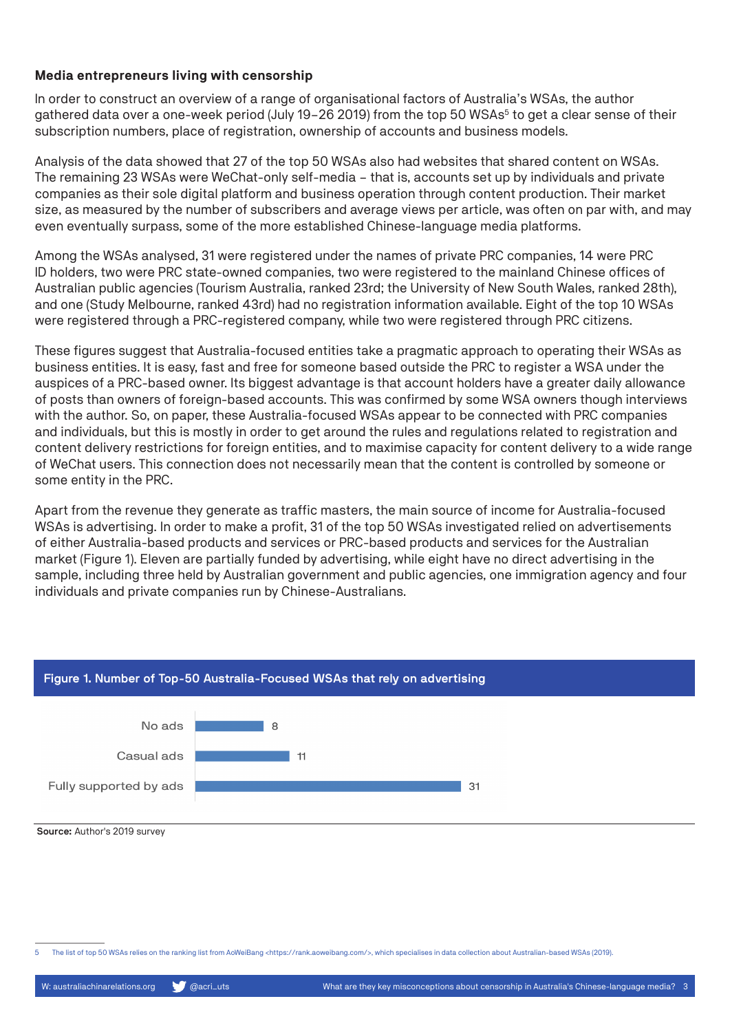#### **Media entrepreneurs living with censorship**

In order to construct an overview of a range of organisational factors of Australia's WSAs, the author gathered data over a one-week period (July 19-26 2019) from the top 50 WSAs<sup>5</sup> to get a clear sense of their subscription numbers, place of registration, ownership of accounts and business models.

Analysis of the data showed that 27 of the top 50 WSAs also had websites that shared content on WSAs. The remaining 23 WSAs were WeChat-only self-media – that is, accounts set up by individuals and private companies as their sole digital platform and business operation through content production. Their market size, as measured by the number of subscribers and average views per article, was often on par with, and may even eventually surpass, some of the more established Chinese-language media platforms.

Among the WSAs analysed, 31 were registered under the names of private PRC companies, 14 were PRC ID holders, two were PRC state-owned companies, two were registered to the mainland Chinese offices of Australian public agencies (Tourism Australia, ranked 23rd; the University of New South Wales, ranked 28th), and one (Study Melbourne, ranked 43rd) had no registration information available. Eight of the top 10 WSAs were registered through a PRC-registered company, while two were registered through PRC citizens.

These figures suggest that Australia-focused entities take a pragmatic approach to operating their WSAs as business entities. It is easy, fast and free for someone based outside the PRC to register a WSA under the auspices of a PRC-based owner. Its biggest advantage is that account holders have a greater daily allowance of posts than owners of foreign-based accounts. This was confirmed by some WSA owners though interviews with the author. So, on paper, these Australia-focused WSAs appear to be connected with PRC companies and individuals, but this is mostly in order to get around the rules and regulations related to registration and content delivery restrictions for foreign entities, and to maximise capacity for content delivery to a wide range of WeChat users. This connection does not necessarily mean that the content is controlled by someone or some entity in the PRC.

Apart from the revenue they generate as traffic masters, the main source of income for Australia-focused WSAs is advertising. In order to make a profit, 31 of the top 50 WSAs investigated relied on advertisements of either Australia-based products and services or PRC-based products and services for the Australian market (Figure 1). Eleven are partially funded by advertising, while eight have no direct advertising in the sample, including three held by Australian government and public agencies, one immigration agency and four individuals and private companies run by Chinese-Australians.



#### Figure 1. Number of Top-50 Australia-Focused WSAs that rely on advertising

Source: Author's 2019 survey

5 The list of top 50 WSAs relies on the ranking list from AoWeiBang <https://rank.aoweibang.com/>, which specialises in data collection about Australian-based WSAs (2019).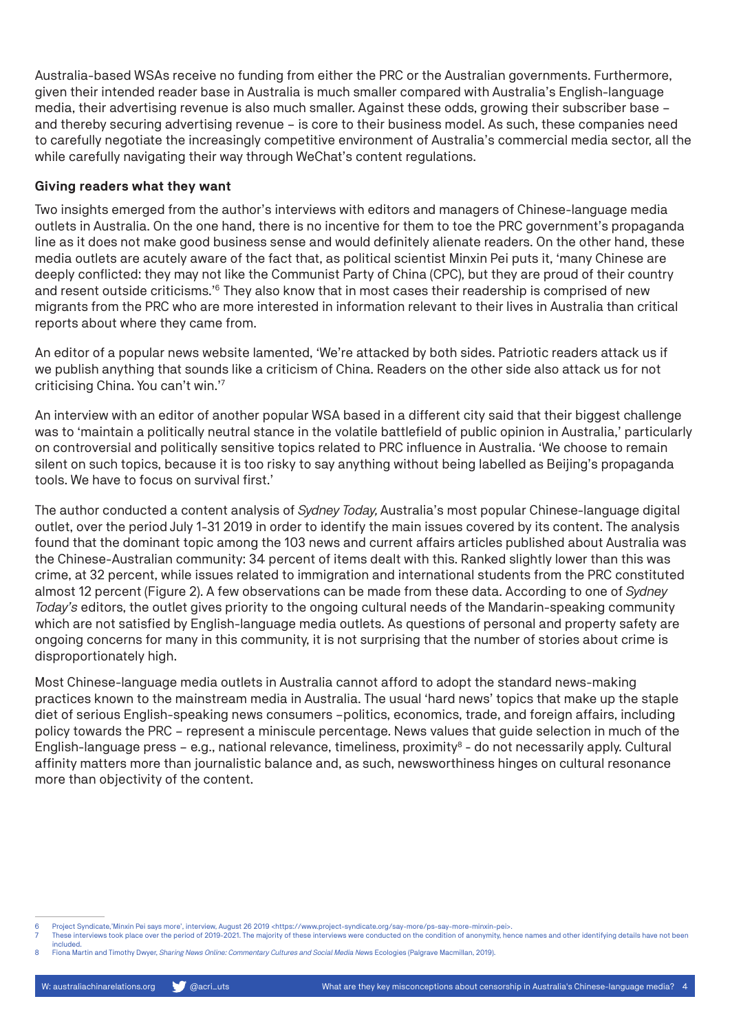Australia-based WSAs receive no funding from either the PRC or the Australian governments. Furthermore, given their intended reader base in Australia is much smaller compared with Australia's English-language media, their advertising revenue is also much smaller. Against these odds, growing their subscriber base – and thereby securing advertising revenue – is core to their business model. As such, these companies need to carefully negotiate the increasingly competitive environment of Australia's commercial media sector, all the while carefully navigating their way through WeChat's content regulations.

#### **Giving readers what they want**

Two insights emerged from the author's interviews with editors and managers of Chinese-language media outlets in Australia. On the one hand, there is no incentive for them to toe the PRC government's propaganda line as it does not make good business sense and would definitely alienate readers. On the other hand, these media outlets are acutely aware of the fact that, as political scientist Minxin Pei puts it, 'many Chinese are deeply conflicted: they may not like the Communist Party of China (CPC), but they are proud of their country and resent outside criticisms.'6 They also know that in most cases their readership is comprised of new migrants from the PRC who are more interested in information relevant to their lives in Australia than critical reports about where they came from.

An editor of a popular news website lamented, 'We're attacked by both sides. Patriotic readers attack us if we publish anything that sounds like a criticism of China. Readers on the other side also attack us for not criticising China. You can't win.'7

An interview with an editor of another popular WSA based in a different city said that their biggest challenge was to 'maintain a politically neutral stance in the volatile battlefield of public opinion in Australia,' particularly on controversial and politically sensitive topics related to PRC influence in Australia. 'We choose to remain silent on such topics, because it is too risky to say anything without being labelled as Beijing's propaganda tools. We have to focus on survival first.'

The author conducted a content analysis of *Sydney Today,* Australia's most popular Chinese-language digital outlet, over the period July 1-31 2019 in order to identify the main issues covered by its content. The analysis found that the dominant topic among the 103 news and current affairs articles published about Australia was the Chinese-Australian community: 34 percent of items dealt with this. Ranked slightly lower than this was crime, at 32 percent, while issues related to immigration and international students from the PRC constituted almost 12 percent (Figure 2). A few observations can be made from these data. According to one of *Sydney Today's* editors, the outlet gives priority to the ongoing cultural needs of the Mandarin-speaking community which are not satisfied by English-language media outlets. As questions of personal and property safety are ongoing concerns for many in this community, it is not surprising that the number of stories about crime is disproportionately high.

Most Chinese-language media outlets in Australia cannot afford to adopt the standard news-making practices known to the mainstream media in Australia. The usual 'hard news' topics that make up the staple diet of serious English-speaking news consumers –politics, economics, trade, and foreign affairs, including policy towards the PRC – represent a miniscule percentage. News values that guide selection in much of the English-language press - e.g., national relevance, timeliness, proximity<sup>8</sup> - do not necessarily apply. Cultural affinity matters more than journalistic balance and, as such, newsworthiness hinges on cultural resonance more than objectivity of the content.

<sup>6</sup> Project Syndicate,'Minxin Pei says more', interview, August 26 2019 <https://www.project-syndicate.org/say-more/ps-say-more-minxin-pei>.

These interviews took place over the period of 2019-2021. The majority of these interviews were conducted on the condition of anonymity, hence names and other identifying details have not been included.

<sup>8</sup> Fiona Martin and Timothy Dwyer, *Sharing News Online: Commentary Cultures and Social Media Ne*ws Ecologies (Palgrave Macmillan, 2019).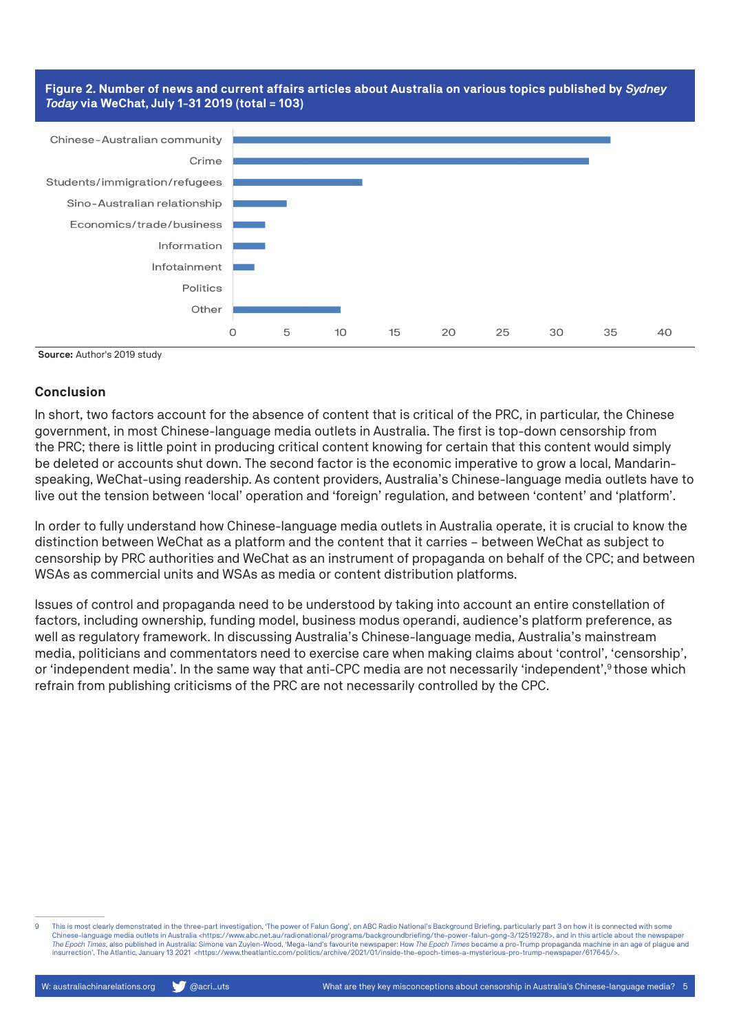#### **Figure 2. Number of news and current affairs articles about Australia on various topics published by** *Sydney Today* **via WeChat, July 1-31 2019 (total = 103)**



Source: Author's 2019 study

#### **Conclusion**

In short, two factors account for the absence of content that is critical of the PRC, in particular, the Chinese government, in most Chinese-language media outlets in Australia. The first is top-down censorship from the PRC; there is little point in producing critical content knowing for certain that this content would simply be deleted or accounts shut down. The second factor is the economic imperative to grow a local, Mandarinspeaking, WeChat-using readership. As content providers, Australia's Chinese-language media outlets have to live out the tension between 'local' operation and 'foreign' regulation, and between 'content' and 'platform'.

In order to fully understand how Chinese-language media outlets in Australia operate, it is crucial to know the distinction between WeChat as a platform and the content that it carries – between WeChat as subject to censorship by PRC authorities and WeChat as an instrument of propaganda on behalf of the CPC; and between WSAs as commercial units and WSAs as media or content distribution platforms.

Issues of control and propaganda need to be understood by taking into account an entire constellation of factors, including ownership, funding model, business modus operandi, audience's platform preference, as well as regulatory framework. In discussing Australia's Chinese-language media, Australia's mainstream media, politicians and commentators need to exercise care when making claims about 'control', 'censorship', or 'independent media'. In the same way that anti-CPC media are not necessarily 'independent',<sup>9</sup> those which refrain from publishing criticisms of the PRC are not necessarily controlled by the CPC.

<sup>9</sup> This is most clearly demonstrated in the three-part investigation. The power of Falun Gong', on ABC Radio National's Background Briefing, particularly part 3 on how it is connected with some Chinese-language media outlets in Australia <https://www.abc.net.au/radionational/programs/backgroundbriefing/the-power-falun-gong-3/12519278>, and in this article about the newspaper *The Epoch Times*, also published in Australia: Simone van Zuylen-Wood, 'Mega-land's favourite newspaper: How *The Epoch Times* became a pro-Trump propaganda machine in an age of plague and insurrection', The Atlantic, January 13 2021 <https://www.theatlantic.com/politics/archive/2021/01/inside-the-epoch-times-a-mysterious-pro-trump-newspaper/617645/>.